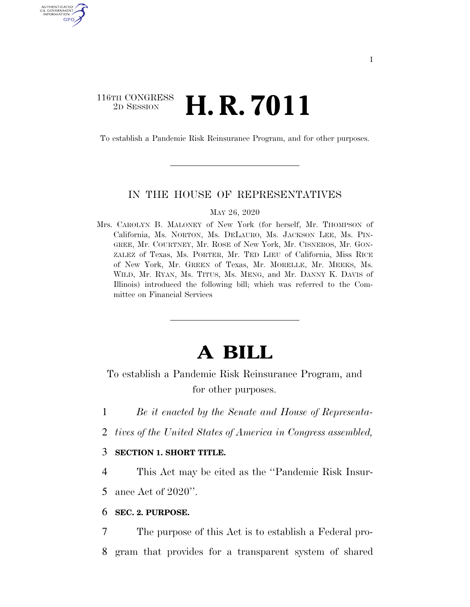## 116TH CONGRESS <sup>2D SESSION</sup> **H. R. 7011**

U.S. GOVERNMENT GPO

To establish a Pandemic Risk Reinsurance Program, and for other purposes.

#### IN THE HOUSE OF REPRESENTATIVES

#### MAY 26, 2020

Mrs. CAROLYN B. MALONEY of New York (for herself, Mr. THOMPSON of California, Ms. NORTON, Ms. DELAURO, Ms. JACKSON LEE, Ms. PIN-GREE, Mr. COURTNEY, Mr. ROSE of New York, Mr. CISNEROS, Mr. GON-ZALEZ of Texas, Ms. PORTER, Mr. TED LIEU of California, Miss RICE of New York, Mr. GREEN of Texas, Mr. MORELLE, Mr. MEEKS, Ms. WILD, Mr. RYAN, Ms. TITUS, Ms. MENG, and Mr. DANNY K. DAVIS of Illinois) introduced the following bill; which was referred to the Committee on Financial Services

# **A BILL**

To establish a Pandemic Risk Reinsurance Program, and for other purposes.

- 1 *Be it enacted by the Senate and House of Representa-*
- 2 *tives of the United States of America in Congress assembled,*

### 3 **SECTION 1. SHORT TITLE.**

4 This Act may be cited as the ''Pandemic Risk Insur-5 ance Act of 2020''.

6 **SEC. 2. PURPOSE.** 

7 The purpose of this Act is to establish a Federal pro-8 gram that provides for a transparent system of shared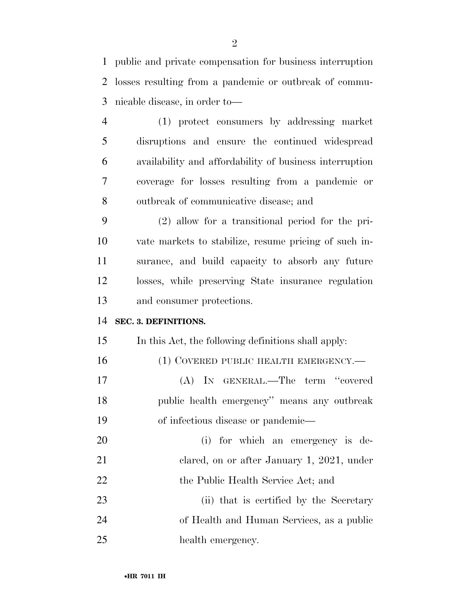public and private compensation for business interruption losses resulting from a pandemic or outbreak of commu-nicable disease, in order to—

 (1) protect consumers by addressing market disruptions and ensure the continued widespread availability and affordability of business interruption coverage for losses resulting from a pandemic or outbreak of communicative disease; and

 (2) allow for a transitional period for the pri- vate markets to stabilize, resume pricing of such in- surance, and build capacity to absorb any future losses, while preserving State insurance regulation and consumer protections.

#### **SEC. 3. DEFINITIONS.**

In this Act, the following definitions shall apply:

16 (1) COVERED PUBLIC HEALTH EMERGENCY.— (A) IN GENERAL.—The term ''covered public health emergency'' means any outbreak of infectious disease or pandemic—

 (i) for which an emergency is de-21 clared, on or after January 1, 2021, under 22 the Public Health Service Act; and

23 (ii) that is certified by the Secretary of Health and Human Services, as a public health emergency.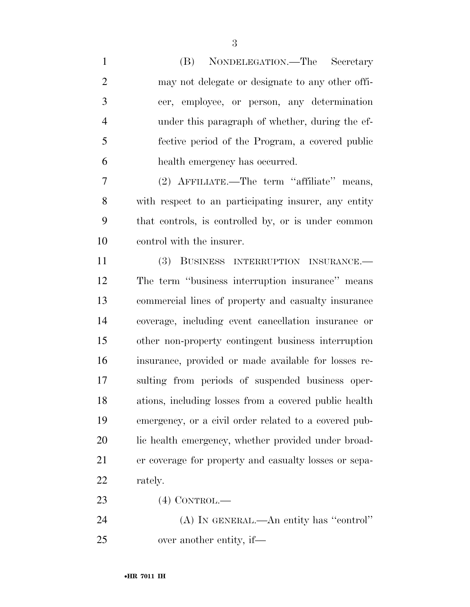(B) NONDELEGATION.—The Secretary may not delegate or designate to any other offi- cer, employee, or person, any determination under this paragraph of whether, during the ef- fective period of the Program, a covered public health emergency has occurred.

 (2) AFFILIATE.—The term ''affiliate'' means, with respect to an participating insurer, any entity that controls, is controlled by, or is under common control with the insurer.

 (3) BUSINESS INTERRUPTION INSURANCE.— The term ''business interruption insurance'' means commercial lines of property and casualty insurance coverage, including event cancellation insurance or other non-property contingent business interruption insurance, provided or made available for losses re- sulting from periods of suspended business oper- ations, including losses from a covered public health emergency, or a civil order related to a covered pub- lic health emergency, whether provided under broad- er coverage for property and casualty losses or sepa-rately.

(4) CONTROL.—

 (A) IN GENERAL.—An entity has ''control'' over another entity, if—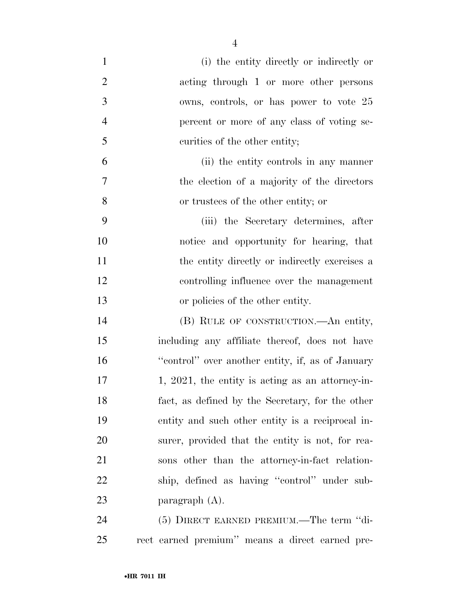| $\mathbf{1}$   | (i) the entity directly or indirectly or         |
|----------------|--------------------------------------------------|
| $\overline{2}$ | acting through 1 or more other persons           |
| 3              | owns, controls, or has power to vote 25          |
| $\overline{4}$ | percent or more of any class of voting se-       |
| 5              | curities of the other entity;                    |
| 6              | (ii) the entity controls in any manner           |
| $\tau$         | the election of a majority of the directors      |
| 8              | or trustees of the other entity; or              |
| 9              | (iii) the Secretary determines, after            |
| 10             | notice and opportunity for hearing, that         |
| 11             | the entity directly or indirectly exercises a    |
| 12             | controlling influence over the management        |
| 13             | or policies of the other entity.                 |
| 14             | (B) RULE OF CONSTRUCTION.—An entity,             |
| 15             | including any affiliate thereof, does not have   |
| 16             | "control" over another entity, if, as of January |
| 17             | 1, 2021, the entity is acting as an attorney-in- |
| 18             | fact, as defined by the Secretary, for the other |
| 19             | entity and such other entity is a reciprocal in- |
| 20             | surer, provided that the entity is not, for rea- |
| 21             | sons other than the attorney-in-fact relation-   |
| 22             | ship, defined as having "control" under sub-     |
| 23             | paragraph $(A)$ .                                |
| 24             | (5) DIRECT EARNED PREMIUM.—The term "di-         |
| 25             | rect earned premium" means a direct earned pre-  |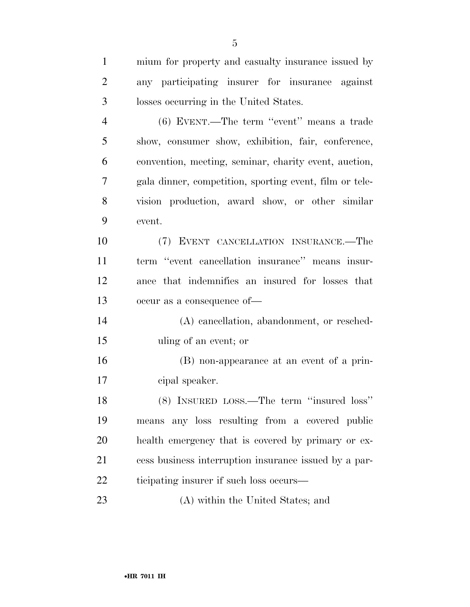| $\mathbf{1}$   | mium for property and casualty insurance issued by      |
|----------------|---------------------------------------------------------|
| 2              | any participating insurer for insurance against         |
| 3              | losses occurring in the United States.                  |
| $\overline{4}$ | (6) EVENT.—The term "event" means a trade               |
| 5              | show, consumer show, exhibition, fair, conference,      |
| 6              | convention, meeting, seminar, charity event, auction,   |
| 7              | gala dinner, competition, sporting event, film or tele- |
| 8              | vision production, award show, or other similar         |
| 9              | event.                                                  |
| 10             | (7) EVENT CANCELLATION INSURANCE.—The                   |
| 11             | term "event cancellation insurance" means insur-        |
| 12             | ance that indemnifies an insured for losses that        |
| 13             | occur as a consequence of-                              |
| 14             | (A) cancellation, abandonment, or resched-              |
| 15             | uling of an event; or                                   |
| 16             | (B) non-appearance at an event of a prin-               |
| 17             | cipal speaker.                                          |
| 18             | (8) INSURED LOSS.—The term "insured loss"               |
| 19             | means any loss resulting from a covered public          |
| 20             | health emergency that is covered by primary or ex-      |
| 21             | cess business interruption insurance issued by a par-   |
| 22             | ticipating insurer if such loss occurs—                 |
| 23             | (A) within the United States; and                       |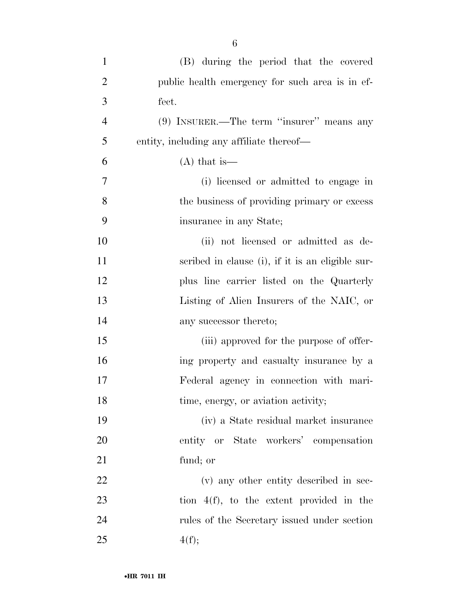| $\mathbf{1}$   | (B) during the period that the covered           |
|----------------|--------------------------------------------------|
| $\overline{2}$ | public health emergency for such area is in ef-  |
| 3              | fect.                                            |
| $\overline{4}$ | $(9)$ INSURER.—The term "insurer" means any      |
| 5              | entity, including any affiliate thereof—         |
| 6              | $(A)$ that is —                                  |
| 7              | (i) licensed or admitted to engage in            |
| 8              | the business of providing primary or excess      |
| 9              | insurance in any State;                          |
| 10             | (ii) not licensed or admitted as de-             |
| 11             | scribed in clause (i), if it is an eligible sur- |
| 12             | plus line carrier listed on the Quarterly        |
| 13             | Listing of Alien Insurers of the NAIC, or        |
| 14             | any successor thereto;                           |
| 15             | (iii) approved for the purpose of offer-         |
| 16             | ing property and casualty insurance by a         |
| 17             | Federal agency in connection with mari-          |
| 18             | time, energy, or aviation activity;              |
| 19             | (iv) a State residual market insurance           |
| 20             | entity or State workers' compensation            |
| 21             | fund; or                                         |
| 22             | (v) any other entity described in sec-           |
| 23             | tion $4(f)$ , to the extent provided in the      |
| 24             | rules of the Secretary issued under section      |
| 25             | 4(f);                                            |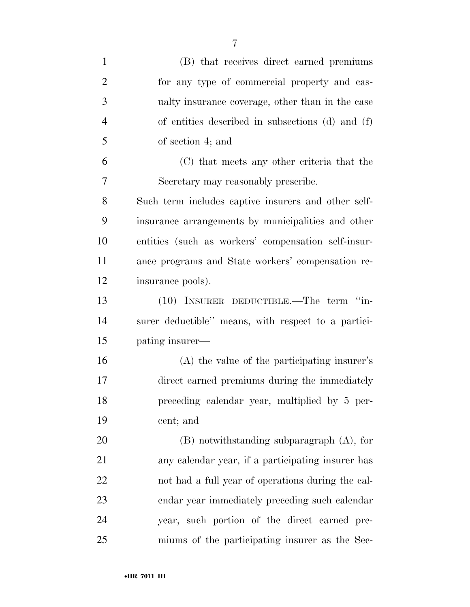| $\mathbf{1}$   | (B) that receives direct earned premiums            |
|----------------|-----------------------------------------------------|
| $\overline{2}$ | for any type of commercial property and cas-        |
| 3              | ualty insurance coverage, other than in the case    |
| $\overline{4}$ | of entities described in subsections (d) and (f)    |
| 5              | of section 4; and                                   |
| 6              | (C) that meets any other criteria that the          |
| 7              | Secretary may reasonably prescribe.                 |
| 8              | Such term includes captive insurers and other self- |
| 9              | insurance arrangements by municipalities and other  |
| 10             | entities (such as workers' compensation self-insur- |
| 11             | ance programs and State workers' compensation re-   |
| 12             | insurance pools).                                   |
| 13             | (10) INSURER DEDUCTIBLE.—The term "in-              |
| 14             | surer deductible" means, with respect to a partici- |
| 15             | pating insurer—                                     |
| 16             | (A) the value of the participating insurer's        |
| 17             | direct earned premiums during the immediately       |
| 18             | preceding calendar year, multiplied by 5 per-       |
| 19             | cent; and                                           |
| 20             | $(B)$ notwithstanding subparagraph $(A)$ , for      |
| 21             | any calendar year, if a participating insurer has   |
| 22             | not had a full year of operations during the cal-   |
| 23             | endar year immediately preceding such calendar      |
| 24             | year, such portion of the direct earned pre-        |
| 25             | miums of the participating insurer as the Sec-      |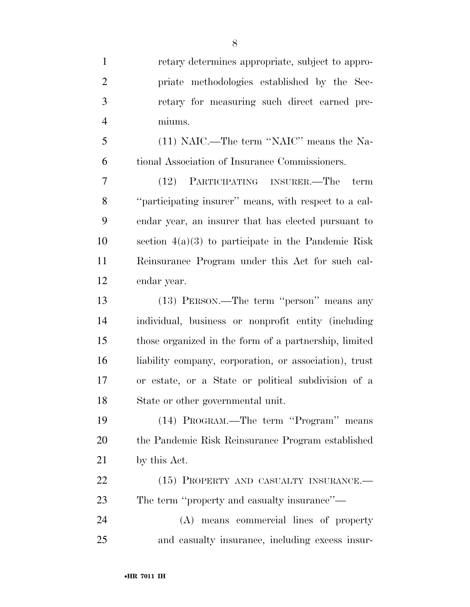| $\mathbf{1}$   | retary determines appropriate, subject to appro-       |
|----------------|--------------------------------------------------------|
| $\overline{2}$ | priate methodologies established by the Sec-           |
| 3              | retary for measuring such direct earned pre-           |
| $\overline{4}$ | miums.                                                 |
| 5              | (11) NAIC.—The term "NAIC" means the Na-               |
| 6              | tional Association of Insurance Commissioners.         |
| 7              | (12) PARTICIPATING INSURER.—The<br>term                |
| 8              | "participating insurer" means, with respect to a cal-  |
| 9              | endar year, an insurer that has elected pursuant to    |
| 10             | section $4(a)(3)$ to participate in the Pandemic Risk  |
| 11             | Reinsurance Program under this Act for such cal-       |
| 12             | endar year.                                            |
| 13             | (13) PERSON.—The term "person" means any               |
| 14             | individual, business or nonprofit entity (including    |
| 15             | those organized in the form of a partnership, limited  |
| 16             | liability company, corporation, or association), trust |
| 17             | or estate, or a State or political subdivision of a    |
| 18             | State or other governmental unit.                      |
| 19             | (14) PROGRAM.—The term "Program" means                 |
| 20             | the Pandemic Risk Reinsurance Program established      |
| 21             | by this Act.                                           |
| 22             | (15) PROPERTY AND CASUALTY INSURANCE.-                 |
| 23             | The term "property and casualty insurance"—            |
| 24             | (A) means commercial lines of property                 |
| 25             | and casualty insurance, including excess insur-        |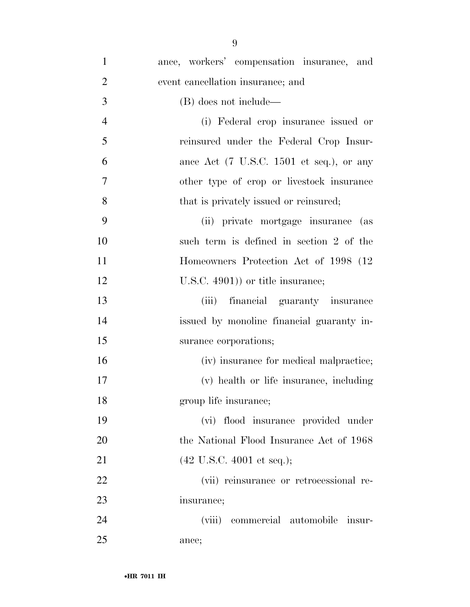| $\mathbf{1}$   | ance, workers' compensation insurance, and                          |
|----------------|---------------------------------------------------------------------|
| $\overline{2}$ | event cancellation insurance; and                                   |
| 3              | (B) does not include—                                               |
| $\overline{4}$ | (i) Federal crop insurance issued or                                |
| 5              | reinsured under the Federal Crop Insur-                             |
| 6              | ance Act $(7 \text{ U.S.C. } 1501 \text{ et seq.}), \text{ or any}$ |
| 7              | other type of crop or livestock insurance                           |
| 8              | that is privately issued or reinsured;                              |
| 9              | (ii) private mortgage insurance (as                                 |
| 10             | such term is defined in section 2 of the                            |
| 11             | Homeowners Protection Act of 1998 (12)                              |
| 12             | $($ U.S.C. 4901)) or title insurance;                               |
| 13             | (iii) financial guaranty insurance                                  |
| 14             | issued by monoline financial guaranty in-                           |
| 15             | surance corporations;                                               |
| 16             | (iv) insurance for medical malpractice;                             |
| 17             | (v) health or life insurance, including                             |
| 18             | group life insurance;                                               |
| 19             | (vi) flood insurance provided under                                 |
| 20             | the National Flood Insurance Act of 1968                            |
| 21             | $(42 \text{ U.S.C. } 4001 \text{ et seq.});$                        |
| 22             | (vii) reinsurance or retrocessional re-                             |
| 23             | insurance;                                                          |
| 24             | (viii) commercial automobile insur-                                 |
| 25             | ance;                                                               |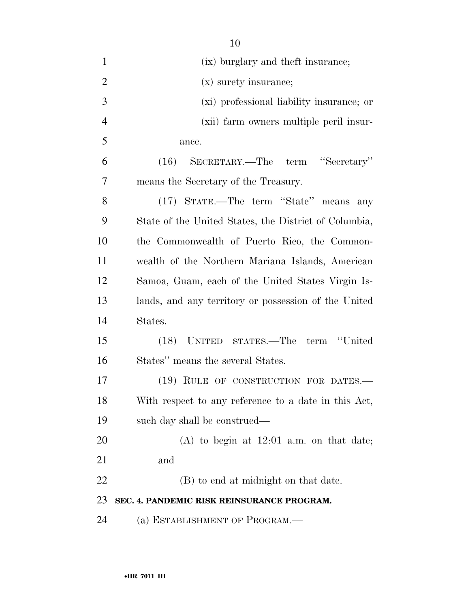| $\mathbf{1}$   | (ix) burglary and theft insurance;                    |
|----------------|-------------------------------------------------------|
| $\overline{2}$ | (x) surety insurance;                                 |
| 3              | (xi) professional liability insurance; or             |
| $\overline{4}$ | (xii) farm owners multiple peril insur-               |
| 5              | ance.                                                 |
| 6              | (16) SECRETARY.—The term "Secretary"                  |
| 7              | means the Secretary of the Treasury.                  |
| 8              | (17) STATE.—The term "State" means any                |
| 9              | State of the United States, the District of Columbia, |
| 10             | the Commonwealth of Puerto Rico, the Common-          |
| 11             | wealth of the Northern Mariana Islands, American      |
| 12             | Samoa, Guam, each of the United States Virgin Is-     |
| 13             | lands, and any territory or possession of the United  |
| 14             | States.                                               |
| 15             | (18) UNITED STATES.—The term "United                  |
| 16             | States" means the several States.                     |
| 17             | (19) RULE OF CONSTRUCTION FOR DATES.—                 |
| 18             | With respect to any reference to a date in this Act,  |
| 19             | such day shall be construed—                          |
| 20             | $(A)$ to begin at 12:01 a.m. on that date;            |
| 21             | and                                                   |
| 22             | (B) to end at midnight on that date.                  |
| 23             | SEC. 4. PANDEMIC RISK REINSURANCE PROGRAM.            |
| 24             | (a) ESTABLISHMENT OF PROGRAM.—                        |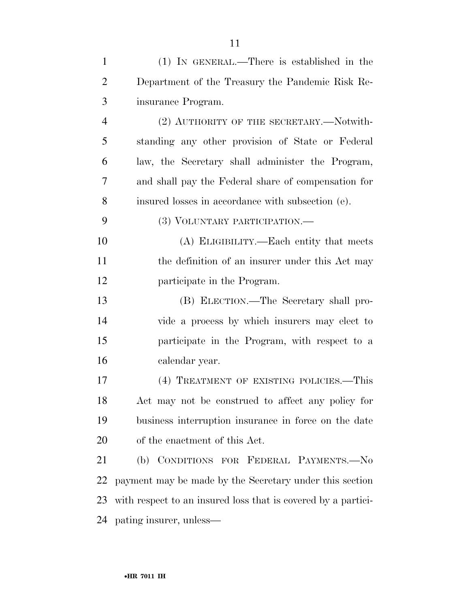| $\mathbf{1}$   | $(1)$ IN GENERAL.—There is established in the                 |
|----------------|---------------------------------------------------------------|
| $\overline{2}$ | Department of the Treasury the Pandemic Risk Re-              |
| 3              | insurance Program.                                            |
| $\overline{4}$ | (2) AUTHORITY OF THE SECRETARY.—Notwith-                      |
| 5              | standing any other provision of State or Federal              |
| 6              | law, the Secretary shall administer the Program,              |
| 7              | and shall pay the Federal share of compensation for           |
| 8              | insured losses in accordance with subsection (e).             |
| 9              | (3) VOLUNTARY PARTICIPATION.—                                 |
| 10             | (A) ELIGIBILITY.—Each entity that meets                       |
| 11             | the definition of an insurer under this Act may               |
| 12             | participate in the Program.                                   |
| 13             | (B) ELECTION.—The Secretary shall pro-                        |
| 14             | vide a process by which insurers may elect to                 |
| 15             | participate in the Program, with respect to a                 |
| 16             | calendar year.                                                |
| 17             | (4) TREATMENT OF EXISTING POLICIES.—This                      |
| 18             | Act may not be construed to affect any policy for             |
| 19             | business interruption insurance in force on the date          |
| 20             | of the enactment of this Act.                                 |
| 21             | (b) CONDITIONS FOR FEDERAL PAYMENTS.-No                       |
| 22             | payment may be made by the Secretary under this section       |
| 23             | with respect to an insured loss that is covered by a partici- |
| 24             | pating insurer, unless—                                       |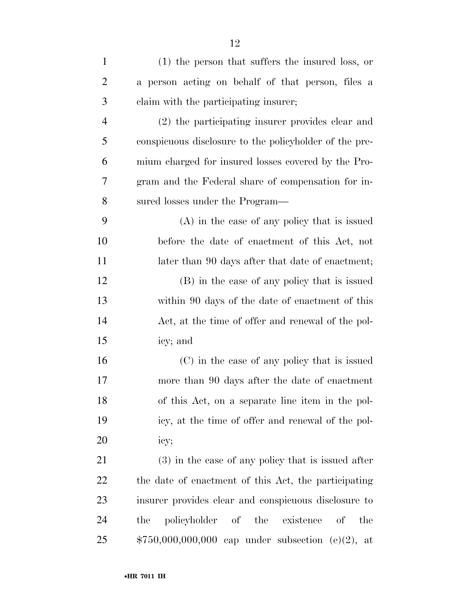| $\mathbf{1}$   | (1) the person that suffers the insured loss, or          |
|----------------|-----------------------------------------------------------|
| $\overline{2}$ | a person acting on behalf of that person, files a         |
| 3              | claim with the participating insurer;                     |
| $\overline{4}$ | (2) the participating insurer provides clear and          |
| 5              | conspicuous disclosure to the policyholder of the pre-    |
| 6              | mium charged for insured losses covered by the Pro-       |
| 7              | gram and the Federal share of compensation for in-        |
| 8              | sured losses under the Program—                           |
| 9              | $(A)$ in the case of any policy that is issued            |
| 10             | before the date of enactment of this Act, not             |
| 11             | later than 90 days after that date of enactment;          |
| 12             | (B) in the case of any policy that is issued              |
| 13             | within 90 days of the date of enactment of this           |
| 14             | Act, at the time of offer and renewal of the pol-         |
| 15             | icy; and                                                  |
| 16             | (C) in the case of any policy that is issued              |
| 17             | more than 90 days after the date of enactment             |
| 18             | of this Act, on a separate line item in the pol-          |
| 19             | icy, at the time of offer and renewal of the pol-         |
| 20             | icy;                                                      |
| 21             | $(3)$ in the case of any policy that is issued after      |
| 22             | the date of enactment of this Act, the participating      |
| 23             | insurer provides clear and conspicuous disclosure to      |
| 24             | policyholder of the existence<br>the<br>$\sigma f$<br>the |
| 25             | \$750,000,000,000 cap under subsection (e)(2), at         |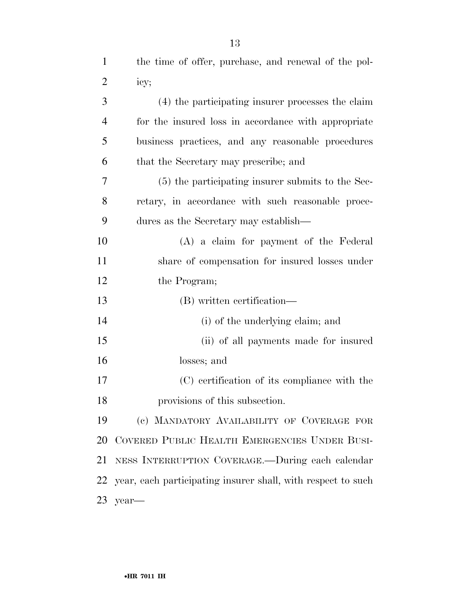| $\mathbf{1}$   | the time of offer, purchase, and renewal of the pol-         |
|----------------|--------------------------------------------------------------|
| $\overline{2}$ | icy;                                                         |
| 3              | (4) the participating insurer processes the claim            |
| $\overline{4}$ | for the insured loss in accordance with appropriate          |
| 5              | business practices, and any reasonable procedures            |
| 6              | that the Secretary may prescribe; and                        |
| 7              | (5) the participating insurer submits to the Sec-            |
| 8              | retary, in accordance with such reasonable proce-            |
| 9              | dures as the Secretary may establish—                        |
| 10             | (A) a claim for payment of the Federal                       |
| 11             | share of compensation for insured losses under               |
| 12             | the Program;                                                 |
| 13             | (B) written certification—                                   |
| 14             | (i) of the underlying claim; and                             |
| 15             | (ii) of all payments made for insured                        |
| 16             | losses; and                                                  |
| 17             | (C) certification of its compliance with the                 |
| 18             | provisions of this subsection.                               |
| 19             | (c) MANDATORY AVAILABILITY OF COVERAGE FOR                   |
| 20             | COVERED PUBLIC HEALTH EMERGENCIES UNDER BUSI-                |
| 21             | NESS INTERRUPTION COVERAGE.—During each calendar             |
| 22             | year, each participating insurer shall, with respect to such |
|                | $23$ year—                                                   |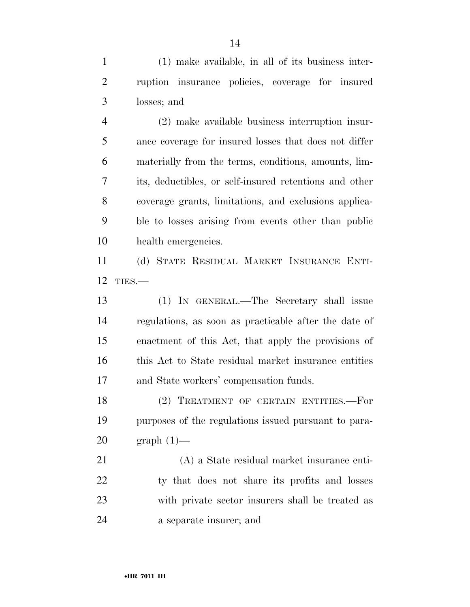(1) make available, in all of its business inter- ruption insurance policies, coverage for insured losses; and

 (2) make available business interruption insur- ance coverage for insured losses that does not differ materially from the terms, conditions, amounts, lim- its, deductibles, or self-insured retentions and other coverage grants, limitations, and exclusions applica- ble to losses arising from events other than public health emergencies.

 (d) STATE RESIDUAL MARKET INSURANCE ENTI-TIES.—

 (1) IN GENERAL.—The Secretary shall issue regulations, as soon as practicable after the date of enactment of this Act, that apply the provisions of this Act to State residual market insurance entities and State workers' compensation funds.

 (2) TREATMENT OF CERTAIN ENTITIES.—For purposes of the regulations issued pursuant to para-graph (1)—

 (A) a State residual market insurance enti-22 ty that does not share its profits and losses with private sector insurers shall be treated as a separate insurer; and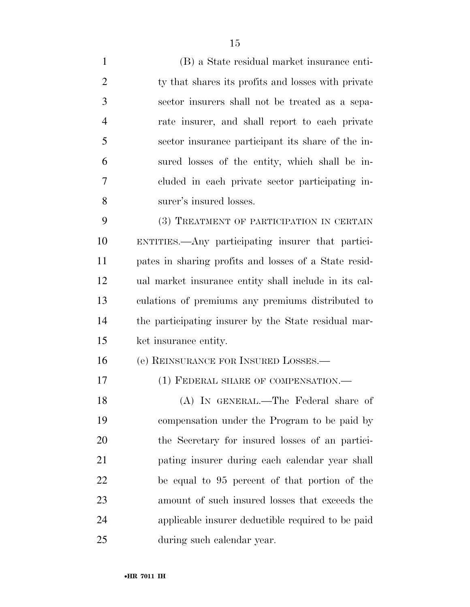(B) a State residual market insurance enti-2 ty that shares its profits and losses with private sector insurers shall not be treated as a sepa- rate insurer, and shall report to each private sector insurance participant its share of the in- sured losses of the entity, which shall be in- cluded in each private sector participating in- surer's insured losses. (3) TREATMENT OF PARTICIPATION IN CERTAIN ENTITIES.—Any participating insurer that partici-

 pates in sharing profits and losses of a State resid- ual market insurance entity shall include in its cal- culations of premiums any premiums distributed to the participating insurer by the State residual mar-ket insurance entity.

(e) REINSURANCE FOR INSURED LOSSES.—

17 (1) FEDERAL SHARE OF COMPENSATION.—

 (A) IN GENERAL.—The Federal share of compensation under the Program to be paid by the Secretary for insured losses of an partici- pating insurer during each calendar year shall be equal to 95 percent of that portion of the amount of such insured losses that exceeds the applicable insurer deductible required to be paid during such calendar year.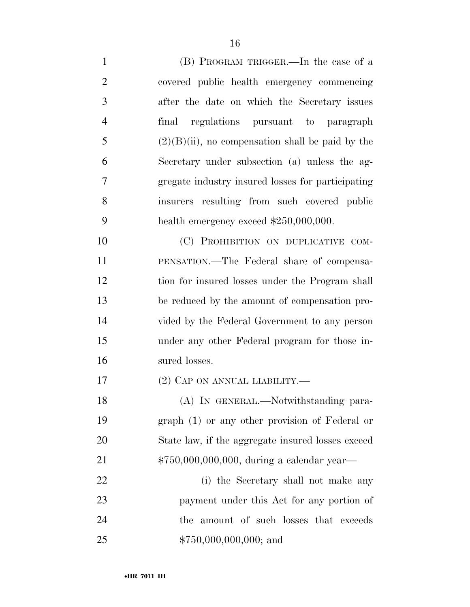- (B) PROGRAM TRIGGER.—In the case of a covered public health emergency commencing after the date on which the Secretary issues final regulations pursuant to paragraph 5 (2)(B)(ii), no compensation shall be paid by the Secretary under subsection (a) unless the ag- gregate industry insured losses for participating insurers resulting from such covered public 9 health emergency exceed  $$250,000,000$ . 10 (C) PROHIBITION ON DUPLICATIVE COM- PENSATION.—The Federal share of compensa- tion for insured losses under the Program shall be reduced by the amount of compensation pro-vided by the Federal Government to any person
- under any other Federal program for those in-sured losses.
- (2) CAP ON ANNUAL LIABILITY.—

18 (A) IN GENERAL.—Notwithstanding para- graph (1) or any other provision of Federal or State law, if the aggregate insured losses exceed 21 \$750,000,000,000, during a calendar year—

 (i) the Secretary shall not make any payment under this Act for any portion of the amount of such losses that exceeds \$750,000,000,000; and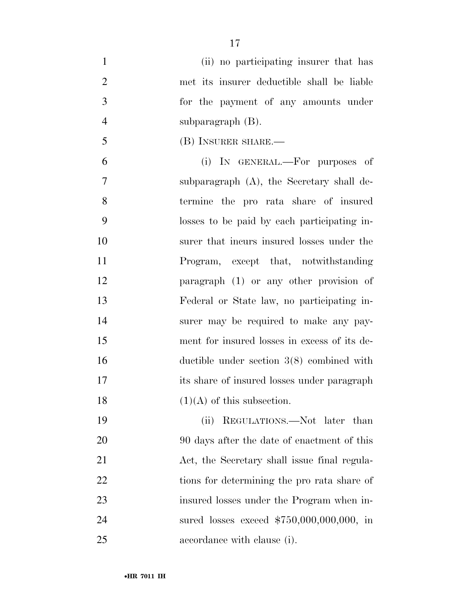- (ii) no participating insurer that has met its insurer deductible shall be liable for the payment of any amounts under subparagraph (B).
- (B) INSURER SHARE.—

 (i) IN GENERAL.—For purposes of subparagraph (A), the Secretary shall de- termine the pro rata share of insured losses to be paid by each participating in- surer that incurs insured losses under the Program, except that, notwithstanding paragraph (1) or any other provision of Federal or State law, no participating in- surer may be required to make any pay- ment for insured losses in excess of its de- ductible under section 3(8) combined with its share of insured losses under paragraph  $(1)(A)$  of this subsection.

19 (ii) REGULATIONS.—Not later than 20 90 days after the date of enactment of this Act, the Secretary shall issue final regula-22 tions for determining the pro rata share of insured losses under the Program when in- sured losses exceed \$750,000,000,000, in accordance with clause (i).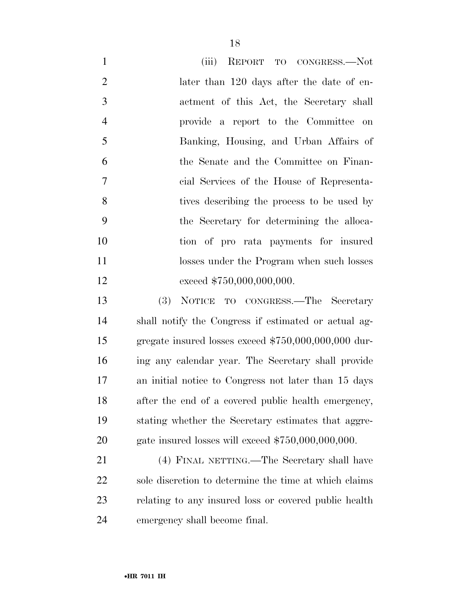| $\mathbf{1}$   | (iii) REPORT TO CONGRESS.—Not                         |
|----------------|-------------------------------------------------------|
| $\overline{2}$ | later than 120 days after the date of en-             |
| $\mathfrak{Z}$ | actment of this Act, the Secretary shall              |
| $\overline{4}$ | provide a report to the Committee on                  |
| 5              | Banking, Housing, and Urban Affairs of                |
| 6              | the Senate and the Committee on Finan-                |
| $\tau$         | cial Services of the House of Representa-             |
| 8              | tives describing the process to be used by            |
| 9              | the Secretary for determining the alloca-             |
| 10             | tion of pro rata payments for insured                 |
| 11             | losses under the Program when such losses             |
| 12             | exceed \$750,000,000,000.                             |
| 13             | NOTICE TO CONGRESS.—The Secretary<br>(3)              |
| 14             | shall notify the Congress if estimated or actual ag-  |
| 15             | gregate insured losses exceed \$750,000,000,000 dur-  |
| 16             | ing any calendar year. The Secretary shall provide    |
| 17             | an initial notice to Congress not later than 15 days  |
| 18             | after the end of a covered public health emergency,   |
| 19             | stating whether the Secretary estimates that aggre-   |
| 20             | gate insured losses will exceed \$750,000,000,000.    |
| 21             | (4) FINAL NETTING.—The Secretary shall have           |
| 22             | sole discretion to determine the time at which claims |
| 23             | relating to any insured loss or covered public health |
| 24             | emergency shall become final.                         |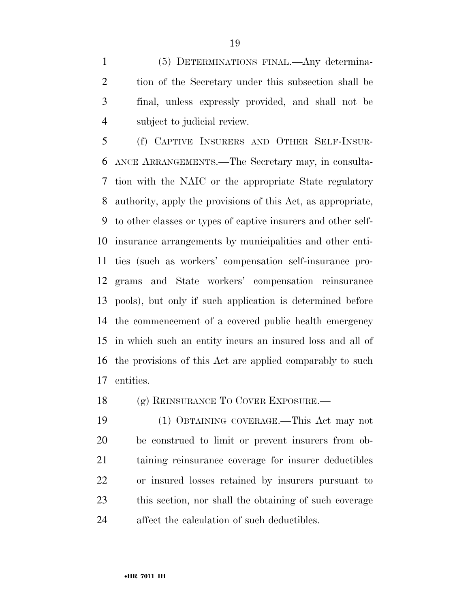(5) DETERMINATIONS FINAL.—Any determina- tion of the Secretary under this subsection shall be final, unless expressly provided, and shall not be subject to judicial review.

 (f) CAPTIVE INSURERS AND OTHER SELF-INSUR- ANCE ARRANGEMENTS.—The Secretary may, in consulta- tion with the NAIC or the appropriate State regulatory authority, apply the provisions of this Act, as appropriate, to other classes or types of captive insurers and other self- insurance arrangements by municipalities and other enti- ties (such as workers' compensation self-insurance pro- grams and State workers' compensation reinsurance pools), but only if such application is determined before the commencement of a covered public health emergency in which such an entity incurs an insured loss and all of the provisions of this Act are applied comparably to such entities.

(g) REINSURANCE TO COVER EXPOSURE.—

 (1) OBTAINING COVERAGE.—This Act may not be construed to limit or prevent insurers from ob- taining reinsurance coverage for insurer deductibles or insured losses retained by insurers pursuant to this section, nor shall the obtaining of such coverage affect the calculation of such deductibles.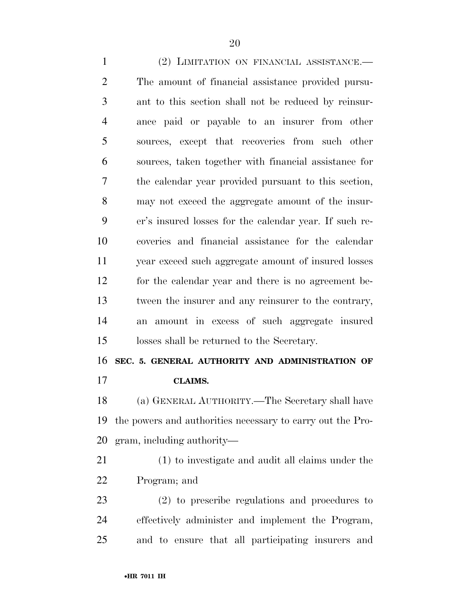(2) LIMITATION ON FINANCIAL ASSISTANCE.— The amount of financial assistance provided pursu- ant to this section shall not be reduced by reinsur- ance paid or payable to an insurer from other sources, except that recoveries from such other sources, taken together with financial assistance for the calendar year provided pursuant to this section, may not exceed the aggregate amount of the insur- er's insured losses for the calendar year. If such re- coveries and financial assistance for the calendar year exceed such aggregate amount of insured losses for the calendar year and there is no agreement be- tween the insurer and any reinsurer to the contrary, an amount in excess of such aggregate insured losses shall be returned to the Secretary.

**SEC. 5. GENERAL AUTHORITY AND ADMINISTRATION OF** 

**CLAIMS.** 

 (a) GENERAL AUTHORITY.—The Secretary shall have the powers and authorities necessary to carry out the Pro-gram, including authority—

 (1) to investigate and audit all claims under the Program; and

 (2) to prescribe regulations and procedures to effectively administer and implement the Program, and to ensure that all participating insurers and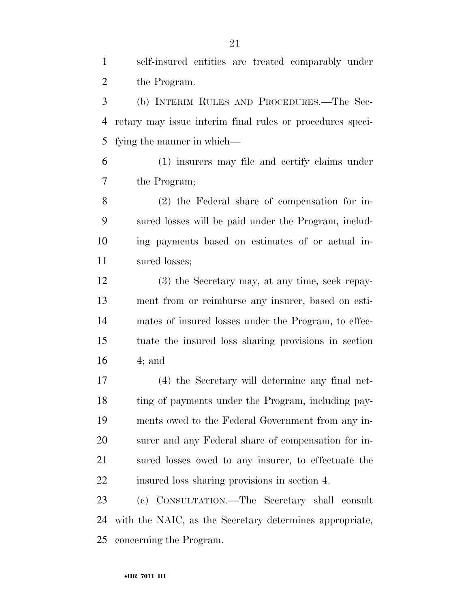self-insured entities are treated comparably under the Program.

 (b) INTERIM RULES AND PROCEDURES.—The Sec- retary may issue interim final rules or procedures speci-fying the manner in which—

 (1) insurers may file and certify claims under the Program;

 (2) the Federal share of compensation for in- sured losses will be paid under the Program, includ- ing payments based on estimates of or actual in-sured losses;

 (3) the Secretary may, at any time, seek repay- ment from or reimburse any insurer, based on esti- mates of insured losses under the Program, to effec- tuate the insured loss sharing provisions in section 4; and

 (4) the Secretary will determine any final net- ting of payments under the Program, including pay- ments owed to the Federal Government from any in- surer and any Federal share of compensation for in- sured losses owed to any insurer, to effectuate the insured loss sharing provisions in section 4.

 (c) CONSULTATION.—The Secretary shall consult with the NAIC, as the Secretary determines appropriate, concerning the Program.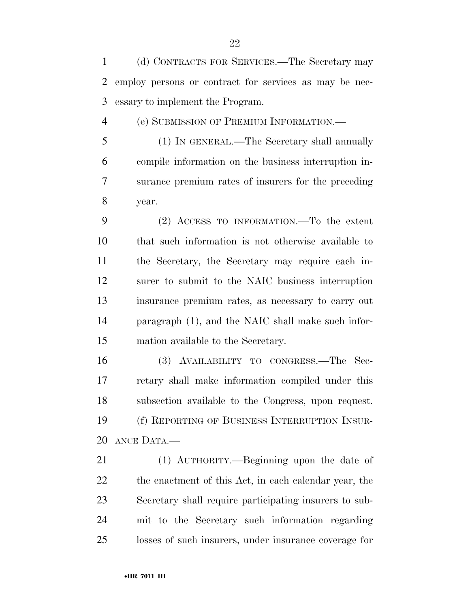(d) CONTRACTS FOR SERVICES.—The Secretary may employ persons or contract for services as may be nec-essary to implement the Program.

(e) SUBMISSION OF PREMIUM INFORMATION.—

 (1) IN GENERAL.—The Secretary shall annually compile information on the business interruption in- surance premium rates of insurers for the preceding year.

 (2) ACCESS TO INFORMATION.—To the extent that such information is not otherwise available to the Secretary, the Secretary may require each in- surer to submit to the NAIC business interruption insurance premium rates, as necessary to carry out paragraph (1), and the NAIC shall make such infor-mation available to the Secretary.

 (3) AVAILABILITY TO CONGRESS.—The Sec- retary shall make information compiled under this subsection available to the Congress, upon request. (f) REPORTING OF BUSINESS INTERRUPTION INSUR-ANCE DATA.—

 (1) AUTHORITY.—Beginning upon the date of the enactment of this Act, in each calendar year, the Secretary shall require participating insurers to sub- mit to the Secretary such information regarding losses of such insurers, under insurance coverage for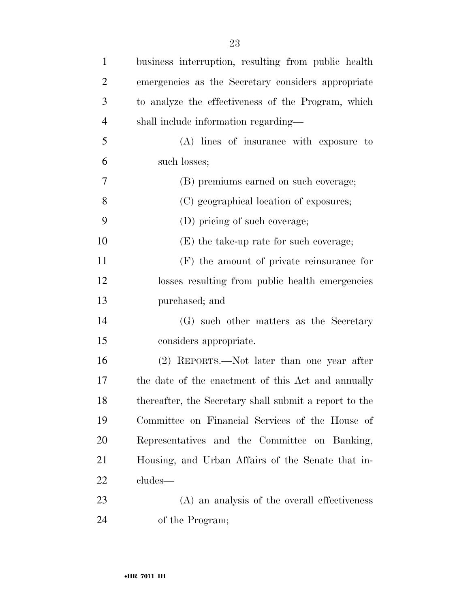| $\mathbf{1}$   | business interruption, resulting from public health    |
|----------------|--------------------------------------------------------|
| $\overline{2}$ | emergencies as the Secretary considers appropriate     |
| 3              | to analyze the effectiveness of the Program, which     |
| $\overline{4}$ | shall include information regarding-                   |
| 5              | (A) lines of insurance with exposure to                |
| 6              | such losses;                                           |
| 7              | (B) premiums earned on such coverage;                  |
| 8              | (C) geographical location of exposures;                |
| 9              | (D) pricing of such coverage;                          |
| 10             | $(E)$ the take-up rate for such coverage;              |
| 11             | $(F)$ the amount of private reinsurance for            |
| 12             | losses resulting from public health emergencies        |
| 13             | purchased; and                                         |
| 14             | (G) such other matters as the Secretary                |
| 15             | considers appropriate.                                 |
| 16             | (2) REPORTS.—Not later than one year after             |
| 17             | the date of the enactment of this Act and annually     |
| 18             | thereafter, the Secretary shall submit a report to the |
| 19             | Committee on Financial Services of the House of        |
| 20             | Representatives and the Committee on Banking,          |
| 21             | Housing, and Urban Affairs of the Senate that in-      |
| 22             | cludes—                                                |
| 23             | (A) an analysis of the overall effectiveness           |
| 24             | of the Program;                                        |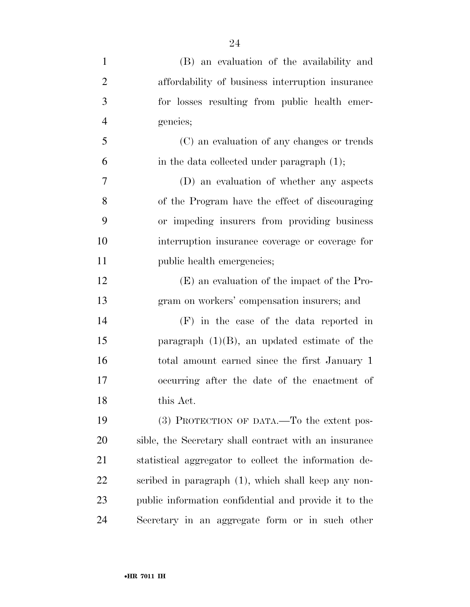| $\mathbf{1}$   | (B) an evaluation of the availability and             |
|----------------|-------------------------------------------------------|
| $\overline{2}$ | affordability of business interruption insurance      |
| 3              | for losses resulting from public health emer-         |
| $\overline{4}$ | gencies;                                              |
| 5              | (C) an evaluation of any changes or trends            |
| 6              | in the data collected under paragraph $(1)$ ;         |
| $\overline{7}$ | (D) an evaluation of whether any aspects              |
| 8              | of the Program have the effect of discouraging        |
| 9              | or impeding insurers from providing business          |
| 10             | interruption insurance coverage or coverage for       |
| 11             | public health emergencies;                            |
| 12             | (E) an evaluation of the impact of the Pro-           |
| 13             | gram on workers' compensation insurers; and           |
| 14             | $(F)$ in the case of the data reported in             |
| 15             | paragraph $(1)(B)$ , an updated estimate of the       |
| 16             | total amount earned since the first January 1         |
| 17             | occurring after the date of the enactment of          |
| 18             | this Act.                                             |
| 19             | (3) PROTECTION OF DATA.—To the extent pos-            |
| 20             | sible, the Secretary shall contract with an insurance |
| 21             | statistical aggregator to collect the information de- |
| 22             | scribed in paragraph (1), which shall keep any non-   |
| 23             | public information confidential and provide it to the |
| 24             | Secretary in an aggregate form or in such other       |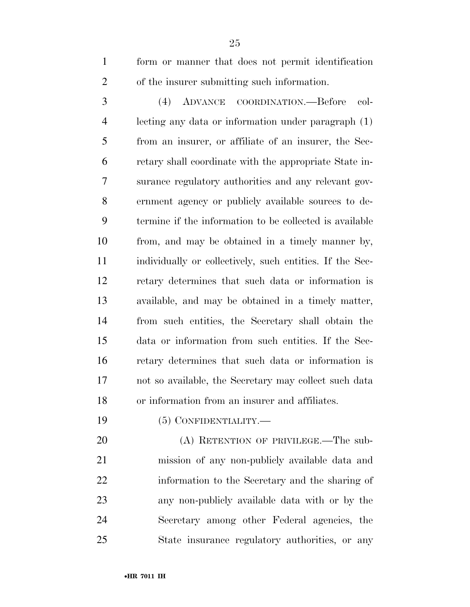form or manner that does not permit identification of the insurer submitting such information.

 (4) ADVANCE COORDINATION.—Before col- lecting any data or information under paragraph (1) from an insurer, or affiliate of an insurer, the Sec- retary shall coordinate with the appropriate State in- surance regulatory authorities and any relevant gov- ernment agency or publicly available sources to de- termine if the information to be collected is available from, and may be obtained in a timely manner by, individually or collectively, such entities. If the Sec- retary determines that such data or information is available, and may be obtained in a timely matter, from such entities, the Secretary shall obtain the data or information from such entities. If the Sec- retary determines that such data or information is not so available, the Secretary may collect such data or information from an insurer and affiliates.

(5) CONFIDENTIALITY.—

20 (A) RETENTION OF PRIVILEGE.—The sub- mission of any non-publicly available data and information to the Secretary and the sharing of any non-publicly available data with or by the Secretary among other Federal agencies, the State insurance regulatory authorities, or any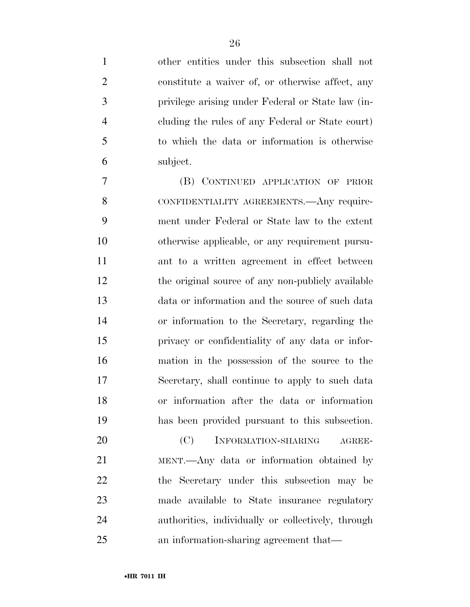other entities under this subsection shall not constitute a waiver of, or otherwise affect, any privilege arising under Federal or State law (in- cluding the rules of any Federal or State court) to which the data or information is otherwise subject.

 (B) CONTINUED APPLICATION OF PRIOR 8 CONFIDENTIALITY AGREEMENTS. Any require- ment under Federal or State law to the extent otherwise applicable, or any requirement pursu- ant to a written agreement in effect between 12 the original source of any non-publicly available data or information and the source of such data or information to the Secretary, regarding the privacy or confidentiality of any data or infor- mation in the possession of the source to the Secretary, shall continue to apply to such data or information after the data or information has been provided pursuant to this subsection.

20 (C) INFORMATION-SHARING AGREE- MENT.—Any data or information obtained by the Secretary under this subsection may be made available to State insurance regulatory authorities, individually or collectively, through an information-sharing agreement that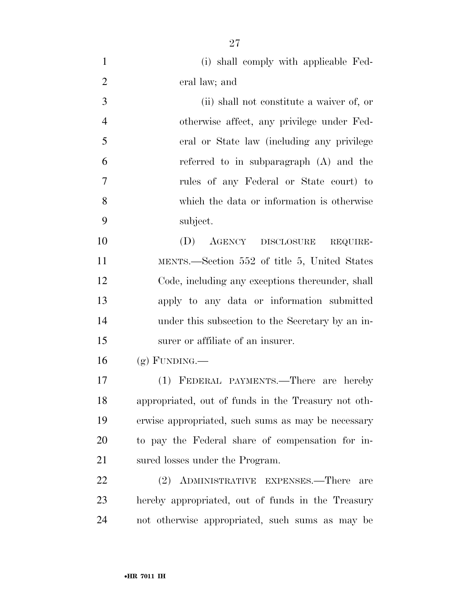(i) shall comply with applicable Fed-eral law; and

 (ii) shall not constitute a waiver of, or otherwise affect, any privilege under Fed- eral or State law (including any privilege referred to in subparagraph (A) and the rules of any Federal or State court) to which the data or information is otherwise subject.

 (D) AGENCY DISCLOSURE REQUIRE- MENTS.—Section 552 of title 5, United States Code, including any exceptions thereunder, shall apply to any data or information submitted under this subsection to the Secretary by an in-surer or affiliate of an insurer.

(g) FUNDING.—

 (1) FEDERAL PAYMENTS.—There are hereby appropriated, out of funds in the Treasury not oth- erwise appropriated, such sums as may be necessary to pay the Federal share of compensation for in-sured losses under the Program.

 (2) ADMINISTRATIVE EXPENSES.—There are hereby appropriated, out of funds in the Treasury not otherwise appropriated, such sums as may be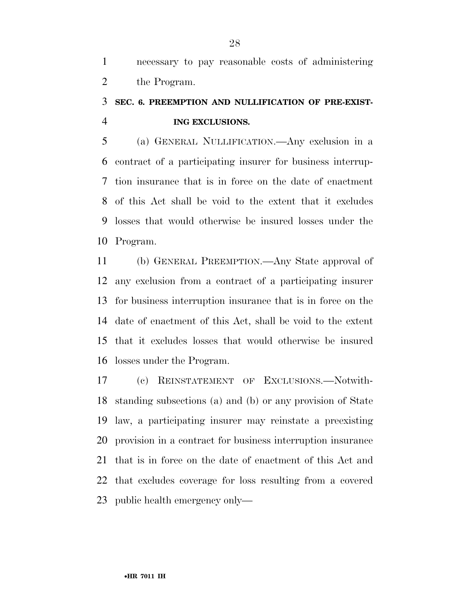necessary to pay reasonable costs of administering the Program.

## **SEC. 6. PREEMPTION AND NULLIFICATION OF PRE-EXIST-ING EXCLUSIONS.**

 (a) GENERAL NULLIFICATION.—Any exclusion in a contract of a participating insurer for business interrup- tion insurance that is in force on the date of enactment of this Act shall be void to the extent that it excludes losses that would otherwise be insured losses under the Program.

 (b) GENERAL PREEMPTION.—Any State approval of any exclusion from a contract of a participating insurer for business interruption insurance that is in force on the date of enactment of this Act, shall be void to the extent that it excludes losses that would otherwise be insured losses under the Program.

 (c) REINSTATEMENT OF EXCLUSIONS.—Notwith- standing subsections (a) and (b) or any provision of State law, a participating insurer may reinstate a preexisting provision in a contract for business interruption insurance that is in force on the date of enactment of this Act and that excludes coverage for loss resulting from a covered public health emergency only—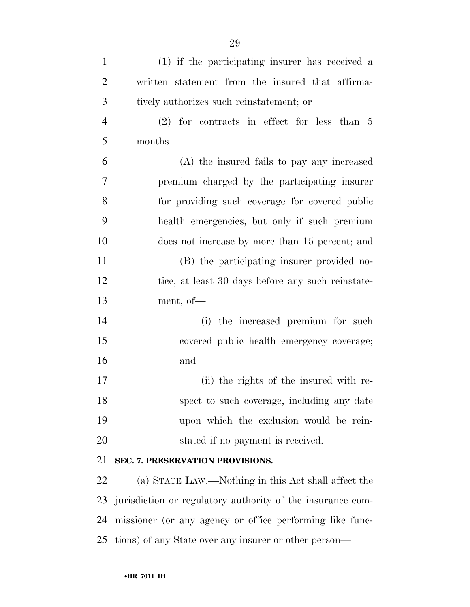| $\mathbf{1}$   | (1) if the participating insurer has received a            |
|----------------|------------------------------------------------------------|
| $\overline{2}$ | written statement from the insured that affirma-           |
| 3              | tively authorizes such reinstatement; or                   |
| $\overline{4}$ | $(2)$ for contracts in effect for less than 5              |
| 5              | months-                                                    |
| 6              | (A) the insured fails to pay any increased                 |
| 7              | premium charged by the participating insurer               |
| 8              | for providing such coverage for covered public             |
| 9              | health emergencies, but only if such premium               |
| 10             | does not increase by more than 15 percent; and             |
| 11             | (B) the participating insurer provided no-                 |
| 12             | tice, at least 30 days before any such reinstate-          |
| 13             | ment, of $-$                                               |
| 14             | the increased premium for such<br>(i)                      |
| 15             | covered public health emergency coverage;                  |
| 16             | and                                                        |
| 17             | (ii) the rights of the insured with re-                    |
| 18             | spect to such coverage, including any date                 |
| 19             | upon which the exclusion would be rein-                    |
| 20             | stated if no payment is received.                          |
| 21             | SEC. 7. PRESERVATION PROVISIONS.                           |
| 22             | (a) STATE LAW.—Nothing in this Act shall affect the        |
| 23             | jurisdiction or regulatory authority of the insurance com- |
| 24             | missioner (or any agency or office performing like func-   |
| 25             | tions) of any State over any insurer or other person—      |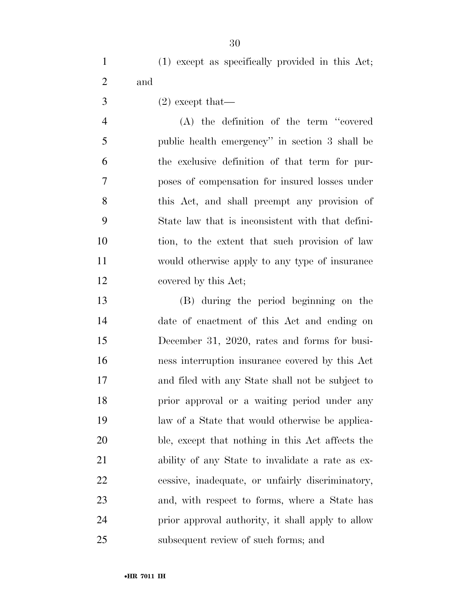|     |  | (1) except as specifically provided in this Act; |  |  |
|-----|--|--------------------------------------------------|--|--|
| and |  |                                                  |  |  |

 $3 \t(2)$  except that—

 (A) the definition of the term ''covered public health emergency'' in section 3 shall be the exclusive definition of that term for pur- poses of compensation for insured losses under this Act, and shall preempt any provision of State law that is inconsistent with that defini- tion, to the extent that such provision of law would otherwise apply to any type of insurance 12 covered by this Act;

 (B) during the period beginning on the date of enactment of this Act and ending on December 31, 2020, rates and forms for busi- ness interruption insurance covered by this Act and filed with any State shall not be subject to **prior** approval or a waiting period under any law of a State that would otherwise be applica- ble, except that nothing in this Act affects the ability of any State to invalidate a rate as ex- cessive, inadequate, or unfairly discriminatory, and, with respect to forms, where a State has prior approval authority, it shall apply to allow subsequent review of such forms; and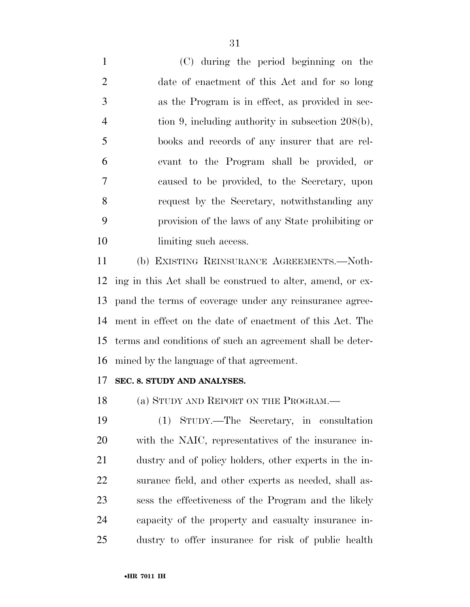(C) during the period beginning on the date of enactment of this Act and for so long as the Program is in effect, as provided in sec- tion 9, including authority in subsection 208(b), books and records of any insurer that are rel- evant to the Program shall be provided, or caused to be provided, to the Secretary, upon request by the Secretary, notwithstanding any provision of the laws of any State prohibiting or 10 limiting such access.

 (b) EXISTING REINSURANCE AGREEMENTS.—Noth- ing in this Act shall be construed to alter, amend, or ex- pand the terms of coverage under any reinsurance agree- ment in effect on the date of enactment of this Act. The terms and conditions of such an agreement shall be deter-mined by the language of that agreement.

#### **SEC. 8. STUDY AND ANALYSES.**

18 (a) STUDY AND REPORT ON THE PROGRAM.—

 (1) STUDY.—The Secretary, in consultation with the NAIC, representatives of the insurance in- dustry and of policy holders, other experts in the in- surance field, and other experts as needed, shall as- sess the effectiveness of the Program and the likely capacity of the property and casualty insurance in-dustry to offer insurance for risk of public health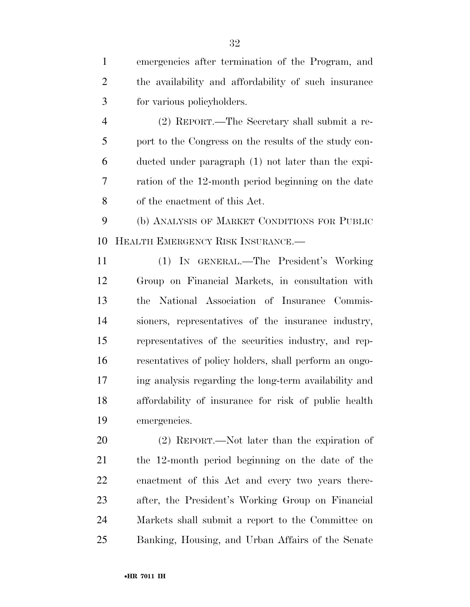emergencies after termination of the Program, and the availability and affordability of such insurance for various policyholders.

 (2) REPORT.—The Secretary shall submit a re- port to the Congress on the results of the study con- ducted under paragraph (1) not later than the expi- ration of the 12-month period beginning on the date of the enactment of this Act.

 (b) ANALYSIS OF MARKET CONDITIONS FOR PUBLIC HEALTH EMERGENCY RISK INSURANCE.—

 (1) IN GENERAL.—The President's Working Group on Financial Markets, in consultation with the National Association of Insurance Commis- sioners, representatives of the insurance industry, representatives of the securities industry, and rep- resentatives of policy holders, shall perform an ongo- ing analysis regarding the long-term availability and affordability of insurance for risk of public health emergencies.

 (2) REPORT.—Not later than the expiration of the 12-month period beginning on the date of the enactment of this Act and every two years there- after, the President's Working Group on Financial Markets shall submit a report to the Committee on Banking, Housing, and Urban Affairs of the Senate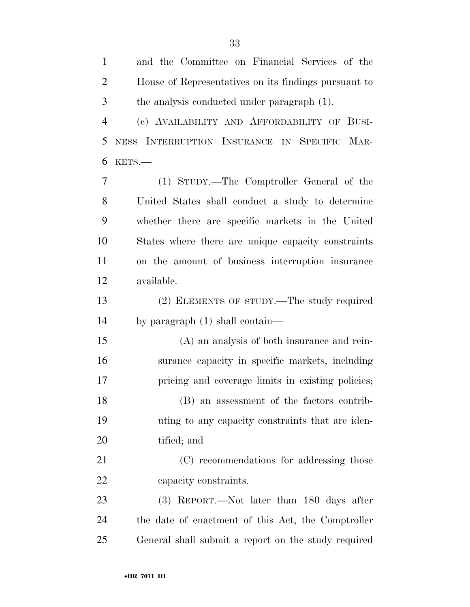| $\mathbf{1}$   | and the Committee on Financial Services of the       |
|----------------|------------------------------------------------------|
| $\overline{2}$ | House of Representatives on its findings pursuant to |
| 3              | the analysis conducted under paragraph (1).          |
| $\overline{4}$ | (c) AVAILABILITY AND AFFORDABILITY OF BUSI-          |
| 5              | NESS INTERRUPTION INSURANCE IN SPECIFIC MAR-         |
| 6              | KETS.-                                               |
| 7              | (1) STUDY.—The Comptroller General of the            |
| 8              | United States shall conduct a study to determine     |
| 9              | whether there are specific markets in the United     |
| 10             | States where there are unique capacity constraints   |
| 11             | on the amount of business interruption insurance     |
| 12             | available.                                           |
| 13             | (2) ELEMENTS OF STUDY.—The study required            |
| 14             | by paragraph $(1)$ shall contain—                    |
| 15             | (A) an analysis of both insurance and rein-          |
| 16             | surance capacity in specific markets, including      |
| 17             | pricing and coverage limits in existing policies;    |
| 18             | (B) an assessment of the factors contrib-            |
| 19             | uting to any capacity constraints that are iden-     |
| <b>20</b>      | tified; and                                          |
| 21             | (C) recommendations for addressing those             |
| 22             | capacity constraints.                                |
| 23             | $(3)$ REPORT.—Not later than 180 days after          |
| 24             | the date of enactment of this Act, the Comptroller   |
| 25             | General shall submit a report on the study required  |
|                |                                                      |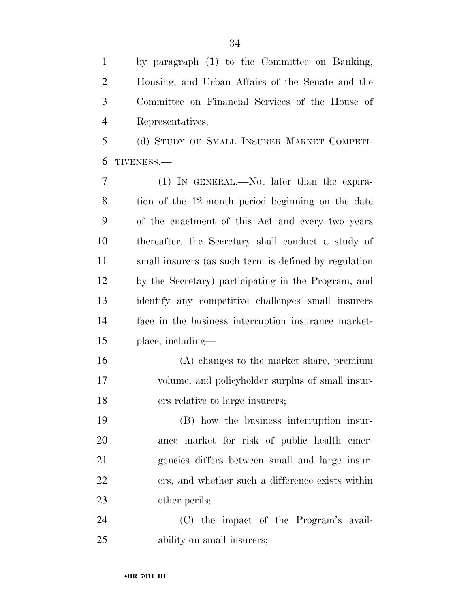by paragraph (1) to the Committee on Banking, Housing, and Urban Affairs of the Senate and the Committee on Financial Services of the House of Representatives.

 (d) STUDY OF SMALL INSURER MARKET COMPETI-TIVENESS.—

 (1) IN GENERAL.—Not later than the expira- tion of the 12-month period beginning on the date of the enactment of this Act and every two years thereafter, the Secretary shall conduct a study of small insurers (as such term is defined by regulation by the Secretary) participating in the Program, and identify any competitive challenges small insurers face in the business interruption insurance market-place, including—

 (A) changes to the market share, premium volume, and policyholder surplus of small insur-ers relative to large insurers;

 (B) how the business interruption insur- ance market for risk of public health emer- gencies differs between small and large insur- ers, and whether such a difference exists within other perils;

 (C) the impact of the Program's avail-ability on small insurers;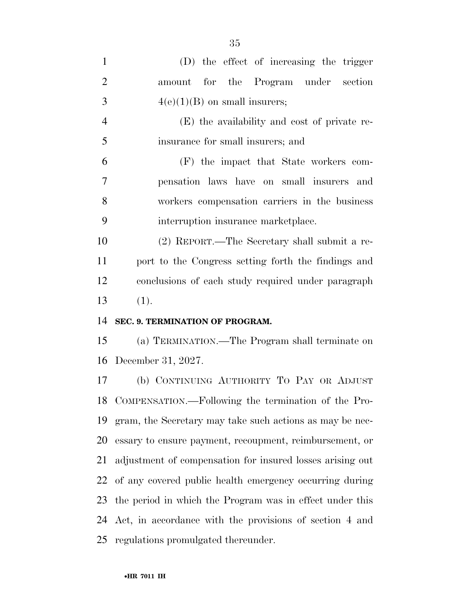| $\mathbf{1}$   | (D) the effect of increasing the trigger                  |
|----------------|-----------------------------------------------------------|
| $\overline{2}$ | amount for the Program under<br>section                   |
| 3              | $4(e)(1)(B)$ on small insurers;                           |
| $\overline{4}$ | (E) the availability and cost of private re-              |
| 5              | insurance for small insurers; and                         |
| 6              | (F) the impact that State workers com-                    |
| 7              | pensation laws have on small insurers and                 |
| 8              | workers compensation carriers in the business             |
| 9              | interruption insurance marketplace.                       |
| 10             | (2) REPORT.—The Secretary shall submit a re-              |
| 11             | port to the Congress setting forth the findings and       |
| 12             | conclusions of each study required under paragraph        |
|                |                                                           |
| 13             | (1).                                                      |
| 14             | SEC. 9. TERMINATION OF PROGRAM.                           |
| 15             | (a) TERMINATION.—The Program shall terminate on           |
| 16             | December 31, 2027.                                        |
| 17             | (b) CONTINUING AUTHORITY TO PAY OR ADJUST                 |
|                | 18 COMPENSATION.—Following the termination of the Pro-    |
| 19             | gram, the Secretary may take such actions as may be nec-  |
| 20             | essary to ensure payment, recoupment, reimbursement, or   |
| 21             | adjustment of compensation for insured losses arising out |
| 22             | of any covered public health emergency occurring during   |
| 23             | the period in which the Program was in effect under this  |
| 24             | Act, in accordance with the provisions of section 4 and   |